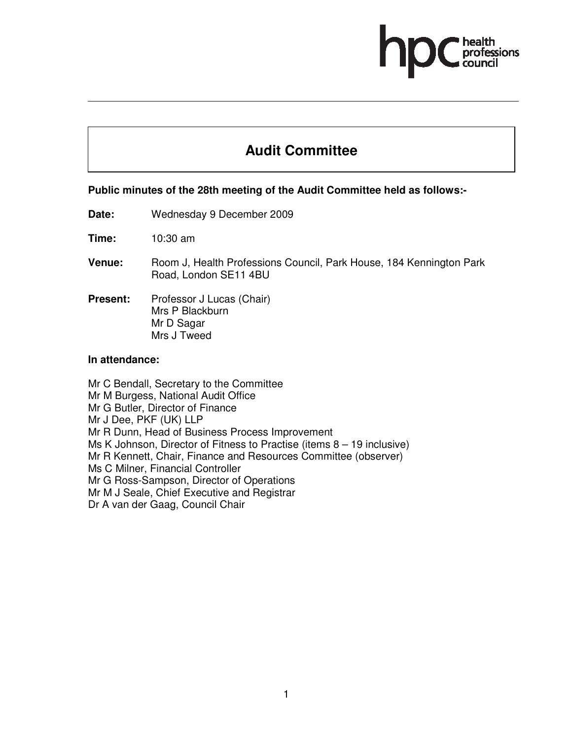# **Audit Committee**

### **Public minutes of the 28th meeting of the Audit Committee held as follows:-**

**Date:** Wednesday 9 December 2009

**Time:** 10:30 am

- **Venue:** Room J, Health Professions Council, Park House, 184 Kennington Park Road, London SE11 4BU
- **Present:** Professor J Lucas (Chair) Mrs P Blackburn Mr D Sagar Mrs J Tweed

#### **In attendance:**

Mr C Bendall, Secretary to the Committee Mr M Burgess, National Audit Office Mr G Butler, Director of Finance Mr J Dee, PKF (UK) LLP Mr R Dunn, Head of Business Process Improvement Ms K Johnson, Director of Fitness to Practise (items 8 – 19 inclusive) Mr R Kennett, Chair, Finance and Resources Committee (observer) Ms C Milner, Financial Controller Mr G Ross-Sampson, Director of Operations Mr M J Seale, Chief Executive and Registrar Dr A van der Gaag, Council Chair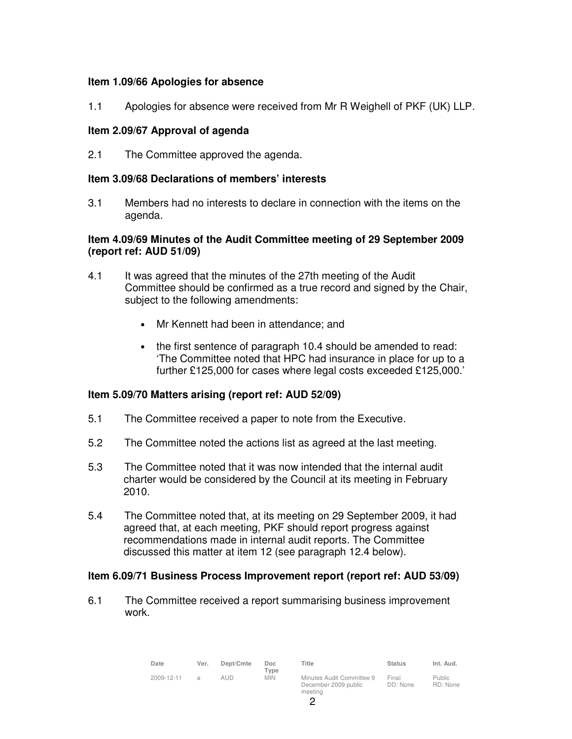# **Item 1.09/66 Apologies for absence**

1.1 Apologies for absence were received from Mr R Weighell of PKF (UK) LLP.

# **Item 2.09/67 Approval of agenda**

2.1 The Committee approved the agenda.

#### **Item 3.09/68 Declarations of members' interests**

3.1 Members had no interests to declare in connection with the items on the agenda.

# **Item 4.09/69 Minutes of the Audit Committee meeting of 29 September 2009 (report ref: AUD 51/09)**

- 4.1 It was agreed that the minutes of the 27th meeting of the Audit Committee should be confirmed as a true record and signed by the Chair, subject to the following amendments:
	- Mr Kennett had been in attendance; and
	- the first sentence of paragraph 10.4 should be amended to read: 'The Committee noted that HPC had insurance in place for up to a further £125,000 for cases where legal costs exceeded £125,000.'

# **Item 5.09/70 Matters arising (report ref: AUD 52/09)**

- 5.1 The Committee received a paper to note from the Executive.
- 5.2 The Committee noted the actions list as agreed at the last meeting.
- 5.3 The Committee noted that it was now intended that the internal audit charter would be considered by the Council at its meeting in February 2010.
- 5.4 The Committee noted that, at its meeting on 29 September 2009, it had agreed that, at each meeting, PKF should report progress against recommendations made in internal audit reports. The Committee discussed this matter at item 12 (see paragraph 12.4 below).

#### **Item 6.09/71 Business Process Improvement report (report ref: AUD 53/09)**

6.1 The Committee received a report summarising business improvement work.

| Date       | Ver.           | Dept/Cmte | Doc.<br>Type | Title                                             | <b>Status</b>     | Int. Aud.                 |
|------------|----------------|-----------|--------------|---------------------------------------------------|-------------------|---------------------------|
| 2009-12-11 | $\overline{a}$ | aud       | MIN.         | Minutes Audit Committee 9<br>December 2009 public | Final<br>DD: None | <b>Public</b><br>RD: None |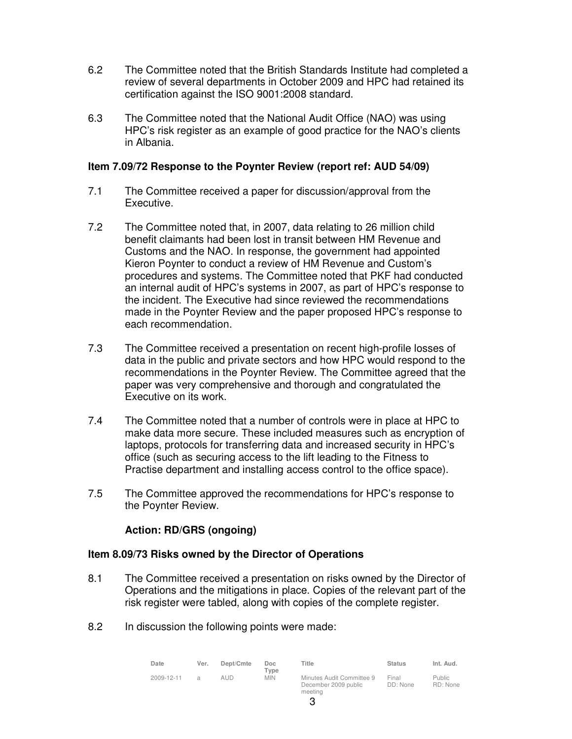- 6.2 The Committee noted that the British Standards Institute had completed a review of several departments in October 2009 and HPC had retained its certification against the ISO 9001:2008 standard.
- 6.3 The Committee noted that the National Audit Office (NAO) was using HPC's risk register as an example of good practice for the NAO's clients in Albania.

### **Item 7.09/72 Response to the Poynter Review (report ref: AUD 54/09)**

- 7.1 The Committee received a paper for discussion/approval from the Executive.
- 7.2 The Committee noted that, in 2007, data relating to 26 million child benefit claimants had been lost in transit between HM Revenue and Customs and the NAO. In response, the government had appointed Kieron Poynter to conduct a review of HM Revenue and Custom's procedures and systems. The Committee noted that PKF had conducted an internal audit of HPC's systems in 2007, as part of HPC's response to the incident. The Executive had since reviewed the recommendations made in the Poynter Review and the paper proposed HPC's response to each recommendation.
- 7.3 The Committee received a presentation on recent high-profile losses of data in the public and private sectors and how HPC would respond to the recommendations in the Poynter Review. The Committee agreed that the paper was very comprehensive and thorough and congratulated the Executive on its work.
- 7.4 The Committee noted that a number of controls were in place at HPC to make data more secure. These included measures such as encryption of laptops, protocols for transferring data and increased security in HPC's office (such as securing access to the lift leading to the Fitness to Practise department and installing access control to the office space).
- 7.5 The Committee approved the recommendations for HPC's response to the Poynter Review.

# **Action: RD/GRS (ongoing)**

# **Item 8.09/73 Risks owned by the Director of Operations**

- 8.1 The Committee received a presentation on risks owned by the Director of Operations and the mitigations in place. Copies of the relevant part of the risk register were tabled, along with copies of the complete register.
- 8.2 In discussion the following points were made:

| Date       | Ver.          | Dept/Cmte | Doc<br>$T$ vpe | Title                                                        | <b>Status</b>     | Int. Aud.          |
|------------|---------------|-----------|----------------|--------------------------------------------------------------|-------------------|--------------------|
| 2009-12-11 | $\mathcal{A}$ | aud       | <b>MIN</b>     | Minutes Audit Committee 9<br>December 2009 public<br>meeting | Final<br>DD: None | Public<br>RD: None |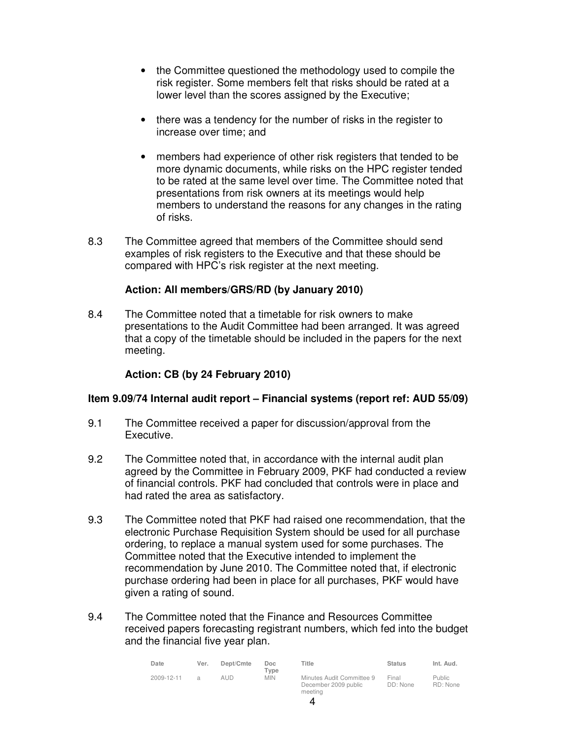- the Committee questioned the methodology used to compile the risk register. Some members felt that risks should be rated at a lower level than the scores assigned by the Executive;
- there was a tendency for the number of risks in the register to increase over time; and
- members had experience of other risk registers that tended to be more dynamic documents, while risks on the HPC register tended to be rated at the same level over time. The Committee noted that presentations from risk owners at its meetings would help members to understand the reasons for any changes in the rating of risks.
- 8.3 The Committee agreed that members of the Committee should send examples of risk registers to the Executive and that these should be compared with HPC's risk register at the next meeting.

### **Action: All members/GRS/RD (by January 2010)**

8.4 The Committee noted that a timetable for risk owners to make presentations to the Audit Committee had been arranged. It was agreed that a copy of the timetable should be included in the papers for the next meeting.

# **Action: CB (by 24 February 2010)**

#### **Item 9.09/74 Internal audit report – Financial systems (report ref: AUD 55/09)**

- 9.1 The Committee received a paper for discussion/approval from the Executive.
- 9.2 The Committee noted that, in accordance with the internal audit plan agreed by the Committee in February 2009, PKF had conducted a review of financial controls. PKF had concluded that controls were in place and had rated the area as satisfactory.
- 9.3 The Committee noted that PKF had raised one recommendation, that the electronic Purchase Requisition System should be used for all purchase ordering, to replace a manual system used for some purchases. The Committee noted that the Executive intended to implement the recommendation by June 2010. The Committee noted that, if electronic purchase ordering had been in place for all purchases, PKF would have given a rating of sound.
- 9.4 The Committee noted that the Finance and Resources Committee received papers forecasting registrant numbers, which fed into the budget and the financial five year plan.

| Date       | Ver.          | Dept/Cmte | Doc<br>$T$ <sub>VDe</sub> | Title                                                        | <b>Status</b>     | Int. Aud.                 |
|------------|---------------|-----------|---------------------------|--------------------------------------------------------------|-------------------|---------------------------|
| 2009-12-11 | $\mathcal{A}$ | aud       | <b>MIN</b>                | Minutes Audit Committee 9<br>December 2009 public<br>meeting | Final<br>DD: None | <b>Public</b><br>RD: None |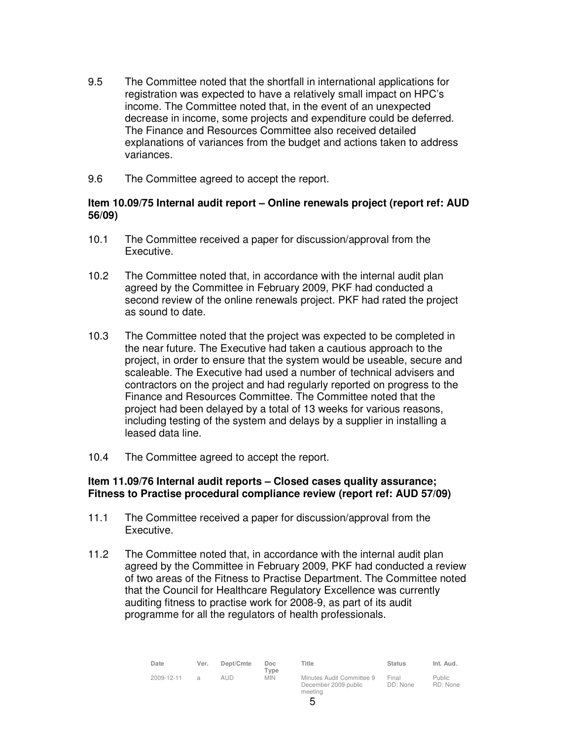- 9.5 The Committee noted that the shortfall in international applications for registration was expected to have a relatively small impact on HPC's income. The Committee noted that, in the event of an unexpected decrease in income, some projects and expenditure could be deferred. The Finance and Resources Committee also received detailed explanations of variances from the budget and actions taken to address variances.
- 9.6 The Committee agreed to accept the report.

# **Item 10.09/75 Internal audit report – Online renewals project (report ref: AUD 56/09)**

- 10.1 The Committee received a paper for discussion/approval from the Executive.
- 10.2 The Committee noted that, in accordance with the internal audit plan agreed by the Committee in February 2009, PKF had conducted a second review of the online renewals project. PKF had rated the project as sound to date.
- 10.3 The Committee noted that the project was expected to be completed in the near future. The Executive had taken a cautious approach to the project, in order to ensure that the system would be useable, secure and scaleable. The Executive had used a number of technical advisers and contractors on the project and had regularly reported on progress to the Finance and Resources Committee. The Committee noted that the project had been delayed by a total of 13 weeks for various reasons, including testing of the system and delays by a supplier in installing a leased data line.
- 10.4 The Committee agreed to accept the report.

### **Item 11.09/76 Internal audit reports – Closed cases quality assurance; Fitness to Practise procedural compliance review (report ref: AUD 57/09)**

- 11.1 The Committee received a paper for discussion/approval from the Executive.
- 11.2 The Committee noted that, in accordance with the internal audit plan agreed by the Committee in February 2009, PKF had conducted a review of two areas of the Fitness to Practise Department. The Committee noted that the Council for Healthcare Regulatory Excellence was currently auditing fitness to practise work for 2008-9, as part of its audit programme for all the regulators of health professionals.

| Date       | Ver.           | Dept/Cmte | Doc.<br>$T$ vpe | Title                                             | <b>Status</b>     | Int. Aud.          |
|------------|----------------|-----------|-----------------|---------------------------------------------------|-------------------|--------------------|
| 2009-12-11 | $\overline{a}$ | aud       | <b>MIN</b>      | Minutes Audit Committee 9<br>December 2009 public | Final<br>DD: None | Public<br>RD: None |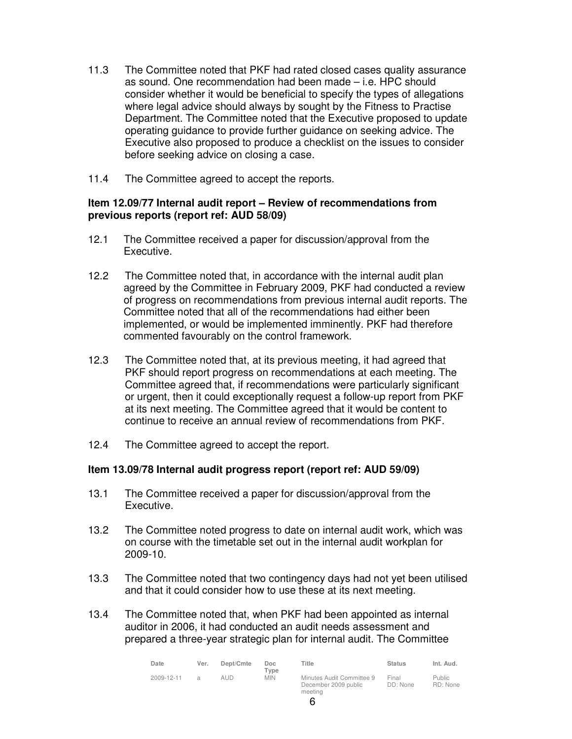- 11.3 The Committee noted that PKF had rated closed cases quality assurance as sound. One recommendation had been made – i.e. HPC should consider whether it would be beneficial to specify the types of allegations where legal advice should always by sought by the Fitness to Practise Department. The Committee noted that the Executive proposed to update operating guidance to provide further guidance on seeking advice. The Executive also proposed to produce a checklist on the issues to consider before seeking advice on closing a case.
- 11.4 The Committee agreed to accept the reports.

# **Item 12.09/77 Internal audit report – Review of recommendations from previous reports (report ref: AUD 58/09)**

- 12.1 The Committee received a paper for discussion/approval from the Executive.
- 12.2 The Committee noted that, in accordance with the internal audit plan agreed by the Committee in February 2009, PKF had conducted a review of progress on recommendations from previous internal audit reports. The Committee noted that all of the recommendations had either been implemented, or would be implemented imminently. PKF had therefore commented favourably on the control framework.
- 12.3 The Committee noted that, at its previous meeting, it had agreed that PKF should report progress on recommendations at each meeting. The Committee agreed that, if recommendations were particularly significant or urgent, then it could exceptionally request a follow-up report from PKF at its next meeting. The Committee agreed that it would be content to continue to receive an annual review of recommendations from PKF.
- 12.4 The Committee agreed to accept the report.

# **Item 13.09/78 Internal audit progress report (report ref: AUD 59/09)**

- 13.1 The Committee received a paper for discussion/approval from the Executive.
- 13.2 The Committee noted progress to date on internal audit work, which was on course with the timetable set out in the internal audit workplan for 2009-10.
- 13.3 The Committee noted that two contingency days had not yet been utilised and that it could consider how to use these at its next meeting.
- 13.4 The Committee noted that, when PKF had been appointed as internal auditor in 2006, it had conducted an audit needs assessment and prepared a three-year strategic plan for internal audit. The Committee

| Date       | Ver. | Dept/Cmte | Doc.<br>Type | Title                                                        | <b>Status</b>     | Int. Aud.                 |
|------------|------|-----------|--------------|--------------------------------------------------------------|-------------------|---------------------------|
| 2009-12-11 |      | aud       | <b>MIN</b>   | Minutes Audit Committee 9<br>December 2009 public<br>meeting | Final<br>DD: None | <b>Public</b><br>RD: None |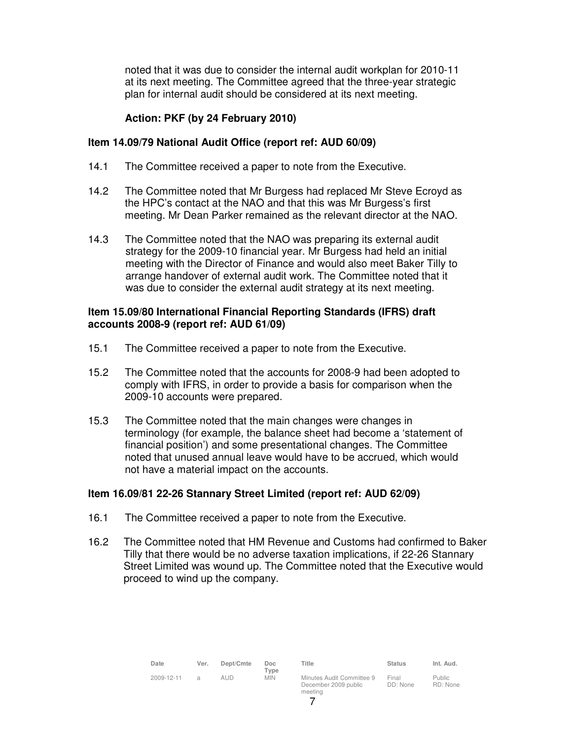noted that it was due to consider the internal audit workplan for 2010-11 at its next meeting. The Committee agreed that the three-year strategic plan for internal audit should be considered at its next meeting.

# **Action: PKF (by 24 February 2010)**

### **Item 14.09/79 National Audit Office (report ref: AUD 60/09)**

- 14.1 The Committee received a paper to note from the Executive.
- 14.2 The Committee noted that Mr Burgess had replaced Mr Steve Ecroyd as the HPC's contact at the NAO and that this was Mr Burgess's first meeting. Mr Dean Parker remained as the relevant director at the NAO.
- 14.3 The Committee noted that the NAO was preparing its external audit strategy for the 2009-10 financial year. Mr Burgess had held an initial meeting with the Director of Finance and would also meet Baker Tilly to arrange handover of external audit work. The Committee noted that it was due to consider the external audit strategy at its next meeting.

### **Item 15.09/80 International Financial Reporting Standards (IFRS) draft accounts 2008-9 (report ref: AUD 61/09)**

- 15.1 The Committee received a paper to note from the Executive.
- 15.2 The Committee noted that the accounts for 2008-9 had been adopted to comply with IFRS, in order to provide a basis for comparison when the 2009-10 accounts were prepared.
- 15.3 The Committee noted that the main changes were changes in terminology (for example, the balance sheet had become a 'statement of financial position') and some presentational changes. The Committee noted that unused annual leave would have to be accrued, which would not have a material impact on the accounts.

# **Item 16.09/81 22-26 Stannary Street Limited (report ref: AUD 62/09)**

- 16.1 The Committee received a paper to note from the Executive.
- 16.2 The Committee noted that HM Revenue and Customs had confirmed to Baker Tilly that there would be no adverse taxation implications, if 22-26 Stannary Street Limited was wound up. The Committee noted that the Executive would proceed to wind up the company.

| Date       | Ver.           | Dept/Cmte | Doc<br>Type | Title                                                        | <b>Status</b>     | Int. Aud.           |
|------------|----------------|-----------|-------------|--------------------------------------------------------------|-------------------|---------------------|
| 2009-12-11 | $\overline{a}$ | aud       | <b>MIN</b>  | Minutes Audit Committee 9<br>December 2009 public<br>meeting | Final<br>DD: None | Public.<br>RD: None |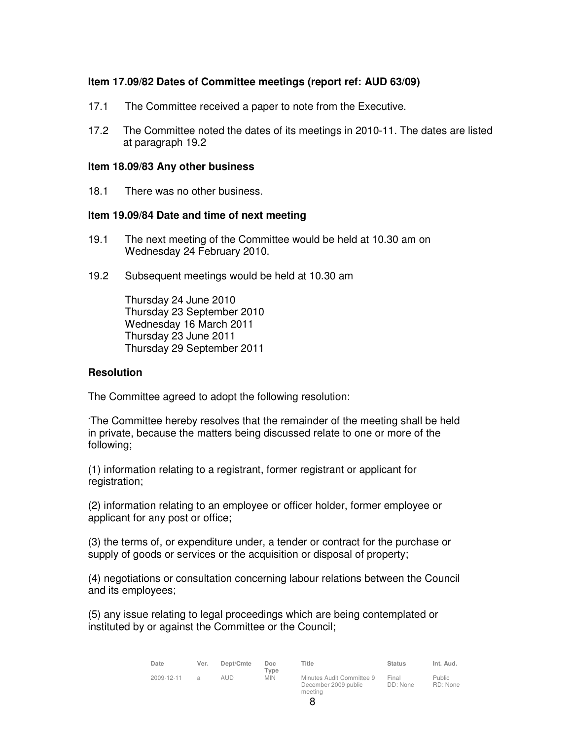# **Item 17.09/82 Dates of Committee meetings (report ref: AUD 63/09)**

- 17.1 The Committee received a paper to note from the Executive.
- 17.2 The Committee noted the dates of its meetings in 2010-11. The dates are listed at paragraph 19.2

#### **Item 18.09/83 Any other business**

18.1 There was no other business.

#### **Item 19.09/84 Date and time of next meeting**

- 19.1 The next meeting of the Committee would be held at 10.30 am on Wednesday 24 February 2010.
- 19.2 Subsequent meetings would be held at 10.30 am

Thursday 24 June 2010 Thursday 23 September 2010 Wednesday 16 March 2011 Thursday 23 June 2011 Thursday 29 September 2011

#### **Resolution**

The Committee agreed to adopt the following resolution:

'The Committee hereby resolves that the remainder of the meeting shall be held in private, because the matters being discussed relate to one or more of the following;

(1) information relating to a registrant, former registrant or applicant for registration;

(2) information relating to an employee or officer holder, former employee or applicant for any post or office;

(3) the terms of, or expenditure under, a tender or contract for the purchase or supply of goods or services or the acquisition or disposal of property;

(4) negotiations or consultation concerning labour relations between the Council and its employees;

(5) any issue relating to legal proceedings which are being contemplated or instituted by or against the Committee or the Council;

| Date       | Ver.          | Dept/Cmte | Doc<br>Type | Title                                                        | <b>Status</b>     | Int. Aud.                 |
|------------|---------------|-----------|-------------|--------------------------------------------------------------|-------------------|---------------------------|
| 2009-12-11 | $\mathcal{L}$ | aud       | <b>MIN</b>  | Minutes Audit Committee 9<br>December 2009 public<br>meeting | Final<br>DD: None | <b>Public</b><br>RD: None |